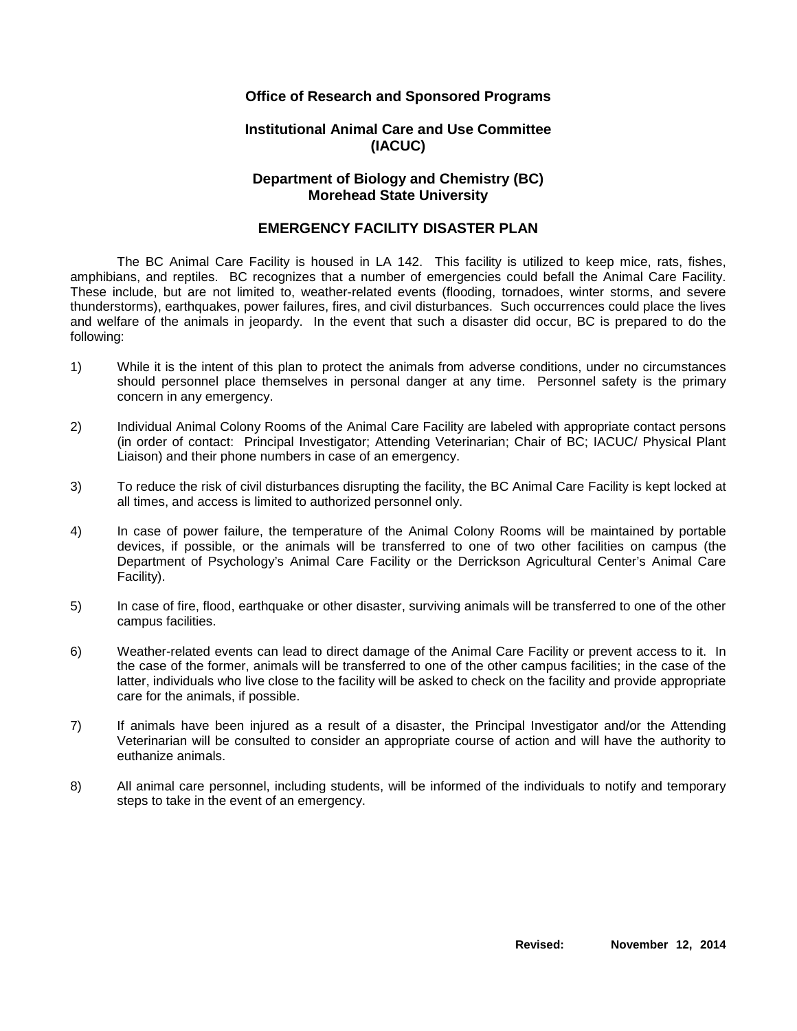### **Office of Research and Sponsored Programs**

### **Institutional Animal Care and Use Committee (IACUC)**

## **Department of Biology and Chemistry (BC) Morehead State University**

#### **EMERGENCY FACILITY DISASTER PLAN**

The BC Animal Care Facility is housed in LA 142. This facility is utilized to keep mice, rats, fishes, amphibians, and reptiles. BC recognizes that a number of emergencies could befall the Animal Care Facility. These include, but are not limited to, weather-related events (flooding, tornadoes, winter storms, and severe thunderstorms), earthquakes, power failures, fires, and civil disturbances. Such occurrences could place the lives and welfare of the animals in jeopardy. In the event that such a disaster did occur, BC is prepared to do the following:

- 1) While it is the intent of this plan to protect the animals from adverse conditions, under no circumstances should personnel place themselves in personal danger at any time. Personnel safety is the primary concern in any emergency.
- 2) Individual Animal Colony Rooms of the Animal Care Facility are labeled with appropriate contact persons (in order of contact: Principal Investigator; Attending Veterinarian; Chair of BC; IACUC/ Physical Plant Liaison) and their phone numbers in case of an emergency.
- 3) To reduce the risk of civil disturbances disrupting the facility, the BC Animal Care Facility is kept locked at all times, and access is limited to authorized personnel only.
- 4) In case of power failure, the temperature of the Animal Colony Rooms will be maintained by portable devices, if possible, or the animals will be transferred to one of two other facilities on campus (the Department of Psychology's Animal Care Facility or the Derrickson Agricultural Center's Animal Care Facility).
- 5) In case of fire, flood, earthquake or other disaster, surviving animals will be transferred to one of the other campus facilities.
- 6) Weather-related events can lead to direct damage of the Animal Care Facility or prevent access to it. In the case of the former, animals will be transferred to one of the other campus facilities; in the case of the latter, individuals who live close to the facility will be asked to check on the facility and provide appropriate care for the animals, if possible.
- 7) If animals have been injured as a result of a disaster, the Principal Investigator and/or the Attending Veterinarian will be consulted to consider an appropriate course of action and will have the authority to euthanize animals.
- 8) All animal care personnel, including students, will be informed of the individuals to notify and temporary steps to take in the event of an emergency.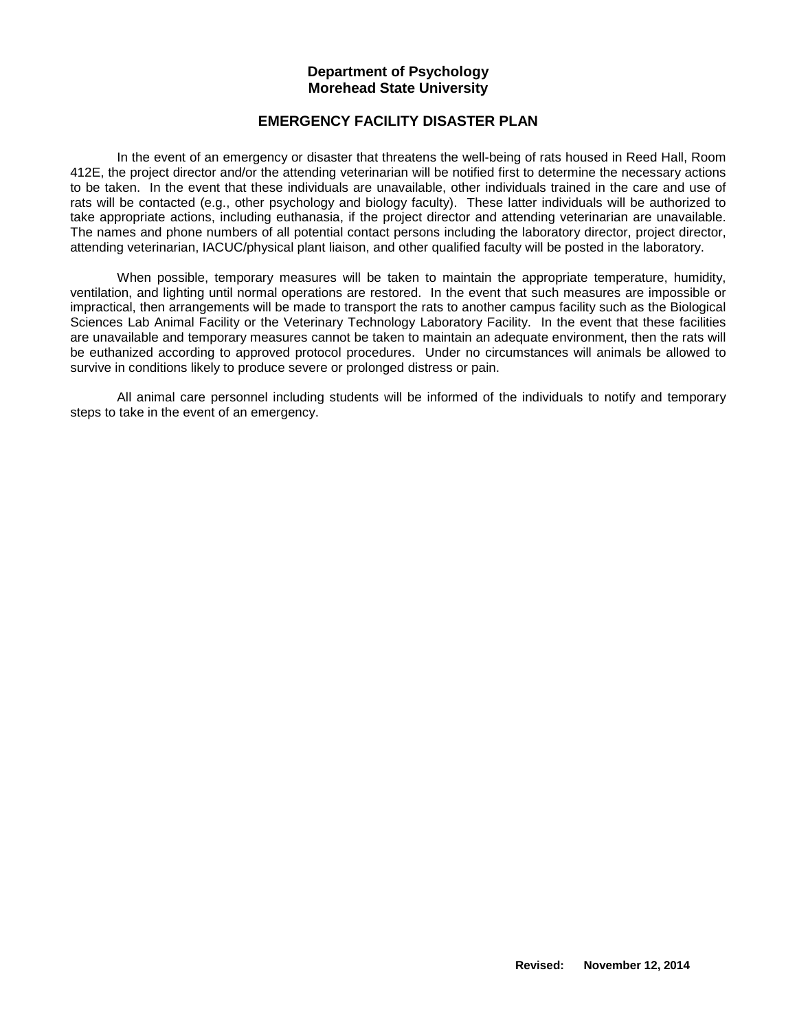#### **Department of Psychology Morehead State University**

## **EMERGENCY FACILITY DISASTER PLAN**

In the event of an emergency or disaster that threatens the well-being of rats housed in Reed Hall, Room 412E, the project director and/or the attending veterinarian will be notified first to determine the necessary actions to be taken. In the event that these individuals are unavailable, other individuals trained in the care and use of rats will be contacted (e.g., other psychology and biology faculty). These latter individuals will be authorized to take appropriate actions, including euthanasia, if the project director and attending veterinarian are unavailable. The names and phone numbers of all potential contact persons including the laboratory director, project director, attending veterinarian, IACUC/physical plant liaison, and other qualified faculty will be posted in the laboratory.

When possible, temporary measures will be taken to maintain the appropriate temperature, humidity, ventilation, and lighting until normal operations are restored. In the event that such measures are impossible or impractical, then arrangements will be made to transport the rats to another campus facility such as the Biological Sciences Lab Animal Facility or the Veterinary Technology Laboratory Facility. In the event that these facilities are unavailable and temporary measures cannot be taken to maintain an adequate environment, then the rats will be euthanized according to approved protocol procedures. Under no circumstances will animals be allowed to survive in conditions likely to produce severe or prolonged distress or pain.

All animal care personnel including students will be informed of the individuals to notify and temporary steps to take in the event of an emergency.